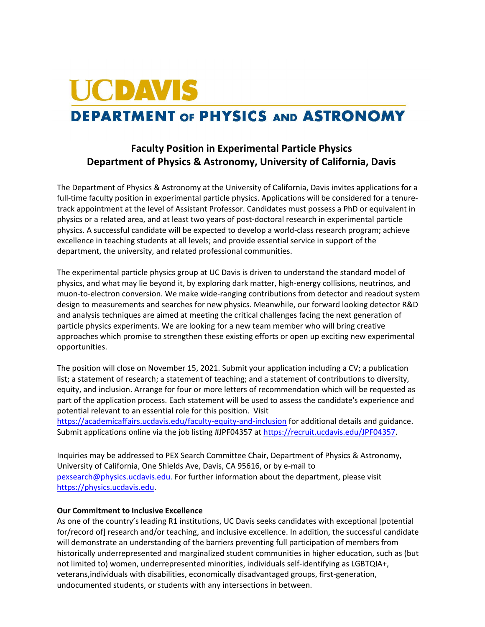## **UCDAVIS DEPARTMENT OF PHYSICS AND ASTRONOMY**

## **Faculty Position in Experimental Particle Physics Department of Physics & Astronomy, University of California, Davis**

The Department of Physics & Astronomy at the University of California, Davis invites applications for a full-time faculty position in experimental particle physics. Applications will be considered for a tenuretrack appointment at the level of Assistant Professor. Candidates must possess a PhD or equivalent in physics or a related area, and at least two years of post-doctoral research in experimental particle physics. A successful candidate will be expected to develop a world‐class research program; achieve excellence in teaching students at all levels; and provide essential service in support of the department, the university, and related professional communities.

The experimental particle physics group at UC Davis is driven to understand the standard model of physics, and what may lie beyond it, by exploring dark matter, high-energy collisions, neutrinos, and muon-to-electron conversion. We make wide-ranging contributions from detector and readout system design to measurements and searches for new physics. Meanwhile, our forward looking detector R&D and analysis techniques are aimed at meeting the critical challenges facing the next generation of particle physics experiments. We are looking for a new team member who will bring creative approaches which promise to strengthen these existing efforts or open up exciting new experimental opportunities.

The position will close on November 15, 2021. Submit your application including a CV; a publication list; a statement of research; a statement of teaching; and a statement of contributions to diversity, equity, and inclusion. Arrange for four or more letters of recommendation which will be requested as part of the application process. Each statement will be used to assess the candidate's experience and potential relevant to an essential role for this position. Visit <https://academicaffairs.ucdavis.edu/faculty-equity-and-inclusion> for additional details and guidance. Submit applications online via the job listing #JPF04357 at [https://recruit.ucdavis.edu/JPF04357.](https://recruit.ucdavis.edu/JPF04357)

Inquiries may be addressed to PEX Search Committee Chair, Department of Physics & Astronomy, University of California, One Shields Ave, Davis, CA 95616, or by e‐mail to [pexsearch@physics.ucdavis.edu.](mailto:pexsearch@physics.ucdavis.edu) For further information about the department, please visit [https://physics.ucdavis.edu.](https://physics.ucdavis.edu/)

## **Our Commitment to Inclusive Excellence**

As one of the country's leading R1 institutions, UC Davis seeks candidates with exceptional [potential for/record of] research and/or teaching, and inclusive excellence. In addition, the successful candidate will demonstrate an understanding of the barriers preventing full participation of members from historically underrepresented and marginalized student communities in higher education, such as (but not limited to) women, underrepresented minorities, individuals self-identifying as LGBTQIA+, veterans,individuals with disabilities, economically disadvantaged groups, first-generation, undocumented students, or students with any intersections in between.